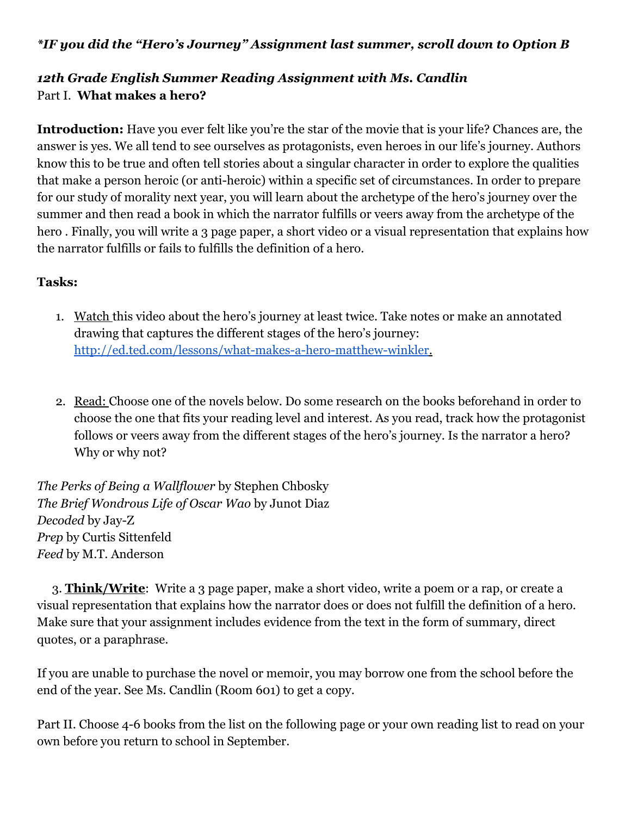#### *\*IF you did the "Hero's Journey" Assignment last summer, scroll down to Option B*

## *12th Grade English Summer Reading Assignment with Ms. Candlin* Part I. **What makes a hero?**

**Introduction:** Have you ever felt like you're the star of the movie that is your life? Chances are, the answer is yes. We all tend to see ourselves as protagonists, even heroes in our life's journey. Authors know this to be true and often tell stories about a singular character in order to explore the qualities that make a person heroic (or anti-heroic) within a specific set of circumstances. In order to prepare for our study of morality next year, you will learn about the archetype of the hero's journey over the summer and then read a book in which the narrator fulfills or veers away from the archetype of the hero . Finally, you will write a 3 page paper, a short video or a visual representation that explains how the narrator fulfills or fails to fulfills the definition of a hero.

#### **Tasks:**

- 1. Watch this video about the hero's journey at least twice. Take notes or make an annotated drawing that captures the different stages of the hero's journey: <http://ed.ted.com/lessons/what-makes-a-hero-matthew-winkler>.
- 2. Read: Choose one of the novels below. Do some research on the books beforehand in order to choose the one that fits your reading level and interest. As you read, track how the protagonist follows or veers away from the different stages of the hero's journey. Is the narrator a hero? Why or why not?

*The Perks of Being a Wallflower* by Stephen Chbosky *The Brief Wondrous Life of Oscar Wao* by Junot Diaz *Decoded* by Jay-Z *Prep* by Curtis Sittenfeld *Feed* by M.T. Anderson

 3. **Think/Write**: Write a 3 page paper, make a short video, write a poem or a rap, or create a visual representation that explains how the narrator does or does not fulfill the definition of a hero. Make sure that your assignment includes evidence from the text in the form of summary, direct quotes, or a paraphrase.

If you are unable to purchase the novel or memoir, you may borrow one from the school before the end of the year. See Ms. Candlin (Room 601) to get a copy.

Part II. Choose 4-6 books from the list on the following page or your own reading list to read on your own before you return to school in September.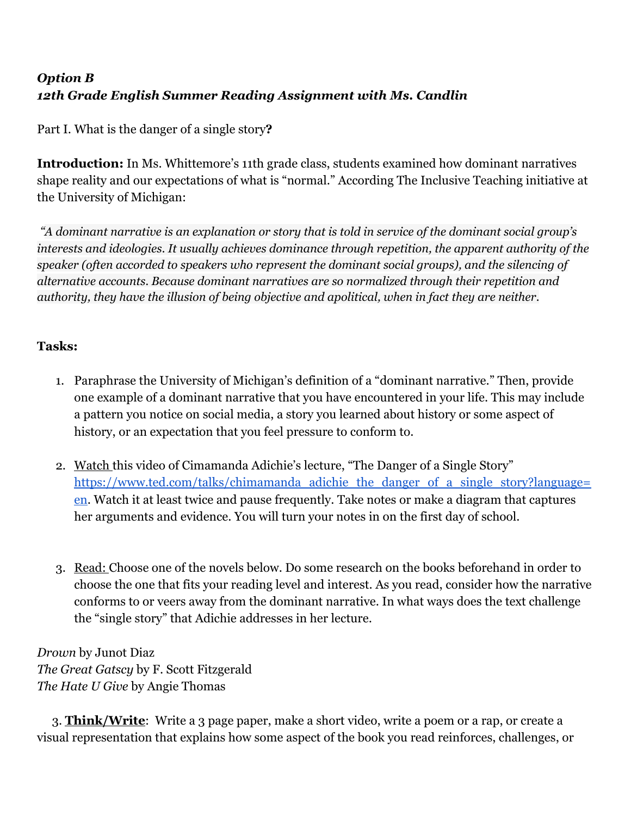# *Option B 12th Grade English Summer Reading Assignment with Ms. Candlin*

Part I. What is the danger of a single story**?**

**Introduction:** In Ms. Whittemore's 11th grade class, students examined how dominant narratives shape reality and our expectations of what is "normal." According The Inclusive Teaching initiative at the University of Michigan:

A dominant narrative is an explanation or story that is told in service of the dominant social group's *interests and ideologies. It usually achieves dominance through repetition, the apparent authority of the speaker (often accorded to speakers who represent the dominant social groups), and the silencing of alternative accounts. Because dominant narratives are so normalized through their repetition and authority, they have the illusion of being objective and apolitical, when in fact they are neither.*

### **Tasks:**

- 1. Paraphrase the University of Michigan's definition of a "dominant narrative." Then, provide one example of a dominant narrative that you have encountered in your life. This may include a pattern you notice on social media, a story you learned about history or some aspect of history, or an expectation that you feel pressure to conform to.
- 2. Watch this video of Cimamanda Adichie's lecture, "The Danger of a Single Story" [https://www.ted.com/talks/chimamanda\\_adichie\\_the\\_danger\\_of\\_a\\_single\\_story?language=](https://www.ted.com/talks/chimamanda_adichie_the_danger_of_a_single_story?language=en) [en.](https://www.ted.com/talks/chimamanda_adichie_the_danger_of_a_single_story?language=en) Watch it at least twice and pause frequently. Take notes or make a diagram that captures her arguments and evidence. You will turn your notes in on the first day of school.
- 3. Read: Choose one of the novels below. Do some research on the books beforehand in order to choose the one that fits your reading level and interest. As you read, consider how the narrative conforms to or veers away from the dominant narrative. In what ways does the text challenge the "single story" that Adichie addresses in her lecture.

*Drown* by Junot Diaz *The Great Gatscy* by F. Scott Fitzgerald *The Hate U Give* by Angie Thomas

 3. **Think/Write**: Write a 3 page paper, make a short video, write a poem or a rap, or create a visual representation that explains how some aspect of the book you read reinforces, challenges, or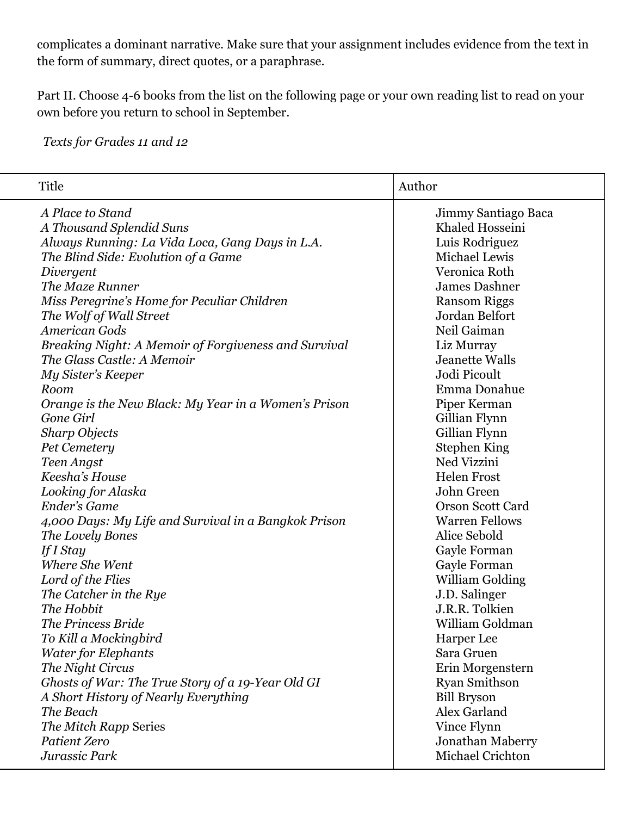complicates a dominant narrative. Make sure that your assignment includes evidence from the text in the form of summary, direct quotes, or a paraphrase.

Part II. Choose 4-6 books from the list on the following page or your own reading list to read on your own before you return to school in September.

*Texts for Grades 11 and 12*

| Title                                                | Author                  |
|------------------------------------------------------|-------------------------|
| A Place to Stand                                     | Jimmy Santiago Baca     |
| A Thousand Splendid Suns                             | Khaled Hosseini         |
| Always Running: La Vida Loca, Gang Days in L.A.      | Luis Rodriguez          |
| The Blind Side: Evolution of a Game                  | Michael Lewis           |
| Divergent                                            | Veronica Roth           |
| The Maze Runner                                      | <b>James Dashner</b>    |
| Miss Peregrine's Home for Peculiar Children          | <b>Ransom Riggs</b>     |
| The Wolf of Wall Street                              | Jordan Belfort          |
| <b>American Gods</b>                                 | Neil Gaiman             |
| Breaking Night: A Memoir of Forgiveness and Survival | Liz Murray              |
| The Glass Castle: A Memoir                           | <b>Jeanette Walls</b>   |
| My Sister's Keeper                                   | Jodi Picoult            |
| Room                                                 | Emma Donahue            |
| Orange is the New Black: My Year in a Women's Prison | Piper Kerman            |
| Gone Girl                                            | Gillian Flynn           |
| <b>Sharp Objects</b>                                 | Gillian Flynn           |
| Pet Cemetery                                         | <b>Stephen King</b>     |
| Teen Angst                                           | Ned Vizzini             |
| Keesha's House                                       | <b>Helen Frost</b>      |
| Looking for Alaska                                   | John Green              |
| Ender's Game                                         | <b>Orson Scott Card</b> |
| 4,000 Days: My Life and Survival in a Bangkok Prison | <b>Warren Fellows</b>   |
| The Lovely Bones                                     | Alice Sebold            |
| If I Stay                                            | Gayle Forman            |
| Where She Went                                       | Gayle Forman            |
| Lord of the Flies                                    | <b>William Golding</b>  |
| The Catcher in the Rye                               | J.D. Salinger           |
| The Hobbit                                           | J.R.R. Tolkien          |
| The Princess Bride                                   | William Goldman         |
| To Kill a Mockingbird                                | Harper Lee              |
| <b>Water for Elephants</b>                           | Sara Gruen              |
| The Night Circus                                     | Erin Morgenstern        |
| Ghosts of War: The True Story of a 19-Year Old GI    | <b>Ryan Smithson</b>    |
| A Short History of Nearly Everything                 | <b>Bill Bryson</b>      |
| The Beach                                            | Alex Garland            |
| The Mitch Rapp Series                                | Vince Flynn             |
| Patient Zero                                         | Jonathan Maberry        |
| Jurassic Park                                        | Michael Crichton        |